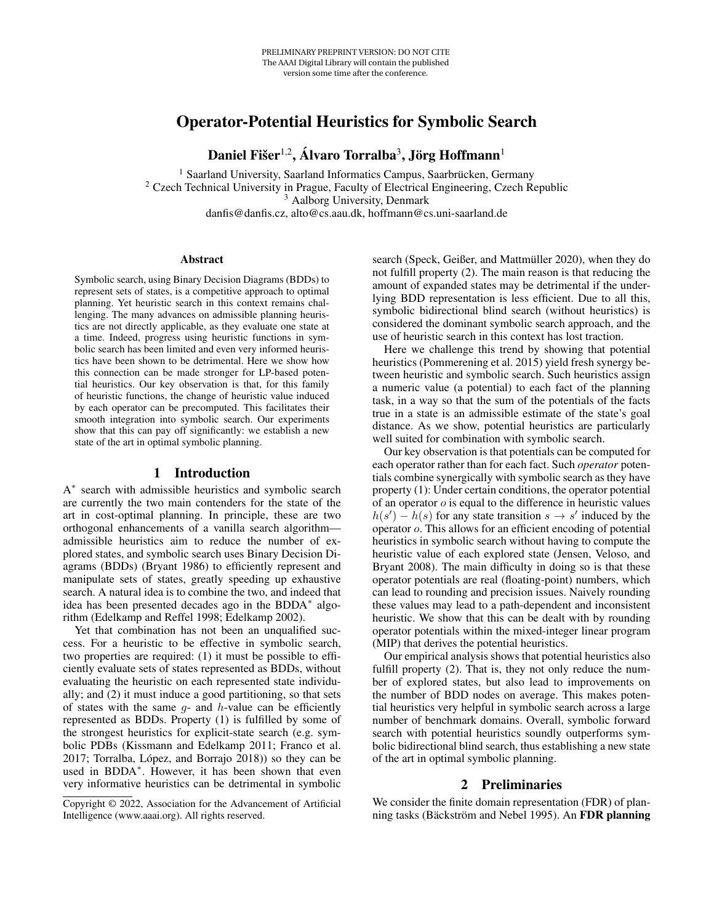# Operator-Potential Heuristics for Symbolic Search

Daniel Fišer $^{1,2}$ , Álvaro Torralba $^3$ , Jörg Hoffmann $^1$ 

<sup>1</sup> Saarland University, Saarland Informatics Campus, Saarbrücken, Germany <sup>2</sup> Czech Technical University in Prague, Faculty of Electrical Engineering, Czech Republic <sup>3</sup> Aalborg University, Denmark danfis@danfis.cz, alto@cs.aau.dk, hoffmann@cs.uni-saarland.de

#### **Abstract**

Symbolic search, using Binary Decision Diagrams (BDDs) to represent sets of states, is a competitive approach to optimal planning. Yet heuristic search in this context remains challenging. The many advances on admissible planning heuristics are not directly applicable, as they evaluate one state at a time. Indeed, progress using heuristic functions in symbolic search has been limited and even very informed heuristics have been shown to be detrimental. Here we show how this connection can be made stronger for LP-based potential heuristics. Our key observation is that, for this family of heuristic functions, the change of heuristic value induced by each operator can be precomputed. This facilitates their smooth integration into symbolic search. Our experiments show that this can pay off significantly: we establish a new state of the art in optimal symbolic planning.

#### 1 Introduction

A ∗ search with admissible heuristics and symbolic search are currently the two main contenders for the state of the art in cost-optimal planning. In principle, these are two orthogonal enhancements of a vanilla search algorithm admissible heuristics aim to reduce the number of explored states, and symbolic search uses Binary Decision Diagrams (BDDs) (Bryant 1986) to efficiently represent and manipulate sets of states, greatly speeding up exhaustive search. A natural idea is to combine the two, and indeed that idea has been presented decades ago in the BDDA<sup>∗</sup> algorithm (Edelkamp and Reffel 1998; Edelkamp 2002).

Yet that combination has not been an unqualified success. For a heuristic to be effective in symbolic search, two properties are required: (1) it must be possible to efficiently evaluate sets of states represented as BDDs, without evaluating the heuristic on each represented state individually; and (2) it must induce a good partitioning, so that sets of states with the same  $q$ - and  $h$ -value can be efficiently represented as BDDs. Property (1) is fulfilled by some of the strongest heuristics for explicit-state search (e.g. symbolic PDBs (Kissmann and Edelkamp 2011; Franco et al.  $2017$ ; Torralba, López, and Borrajo  $2018$ ) so they can be used in BDDA<sup>\*</sup>. However, it has been shown that even very informative heuristics can be detrimental in symbolic

search (Speck, Geißer, and Mattmüller 2020), when they do not fulfill property (2). The main reason is that reducing the amount of expanded states may be detrimental if the underlying BDD representation is less efficient. Due to all this, symbolic bidirectional blind search (without heuristics) is considered the dominant symbolic search approach, and the use of heuristic search in this context has lost traction.

Here we challenge this trend by showing that potential heuristics (Pommerening et al. 2015) yield fresh synergy between heuristic and symbolic search. Such heuristics assign a numeric value (a potential) to each fact of the planning task, in a way so that the sum of the potentials of the facts true in a state is an admissible estimate of the state's goal distance. As we show, potential heuristics are particularly well suited for combination with symbolic search.

Our key observation is that potentials can be computed for each operator rather than for each fact. Such *operator* potentials combine synergically with symbolic search as they have property (1): Under certain conditions, the operator potential of an operator  $o$  is equal to the difference in heuristic values  $h(s') - h(s)$  for any state transition  $s \to s'$  induced by the operator o. This allows for an efficient encoding of potential heuristics in symbolic search without having to compute the heuristic value of each explored state (Jensen, Veloso, and Bryant 2008). The main difficulty in doing so is that these operator potentials are real (floating-point) numbers, which can lead to rounding and precision issues. Naively rounding these values may lead to a path-dependent and inconsistent heuristic. We show that this can be dealt with by rounding operator potentials within the mixed-integer linear program (MIP) that derives the potential heuristics.

Our empirical analysis shows that potential heuristics also fulfill property (2). That is, they not only reduce the number of explored states, but also lead to improvements on the number of BDD nodes on average. This makes potential heuristics very helpful in symbolic search across a large number of benchmark domains. Overall, symbolic forward search with potential heuristics soundly outperforms symbolic bidirectional blind search, thus establishing a new state of the art in optimal symbolic planning.

## 2 Preliminaries

We consider the finite domain representation (FDR) of planning tasks (Bäckström and Nebel 1995). An FDR planning

Copyright © 2022, Association for the Advancement of Artificial Intelligence (www.aaai.org). All rights reserved.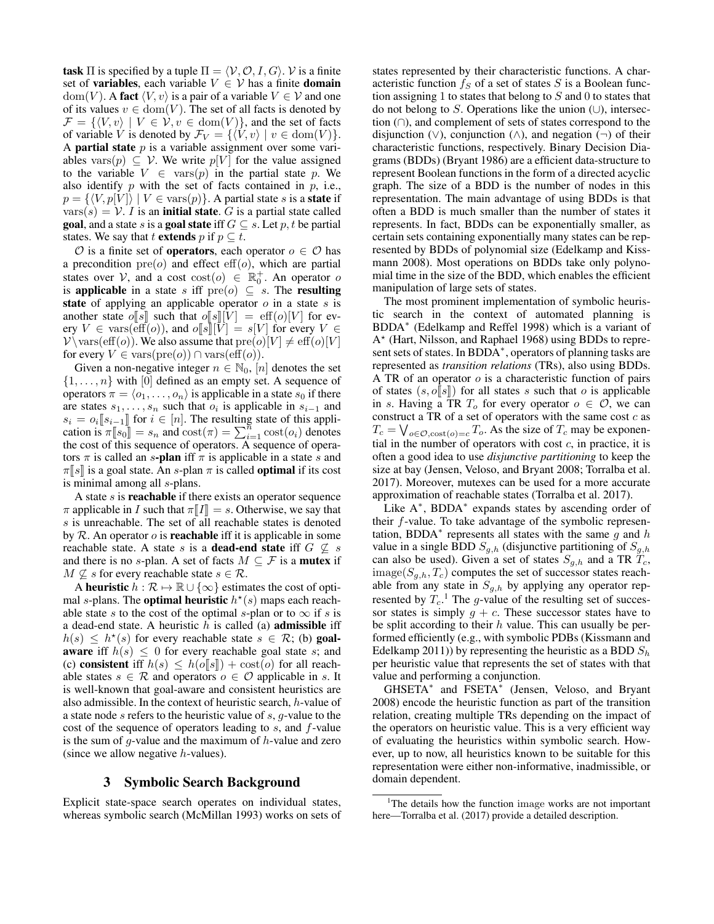task  $\Pi$  is specified by a tuple  $\Pi = \langle V, \mathcal{O}, I, G \rangle$ . V is a finite set of **variables**, each variable  $V \in V$  has a finite **domain**  $dom(V)$ . A fact  $\langle V, v \rangle$  is a pair of a variable  $V \in V$  and one of its values  $v \in \text{dom}(V)$ . The set of all facts is denoted by  $\mathcal{F} = \{ \langle V, v \rangle \mid V \in \mathcal{V}, v \in \text{dom}(V) \},$  and the set of facts of variable V is denoted by  $\mathcal{F}_V = \{ \langle V, v \rangle \mid v \in \text{dom}(V) \}.$ A **partial state**  $p$  is a variable assignment over some variables vars $(p) \subseteq V$ . We write  $p[V]$  for the value assigned to the variable  $V \in \text{vars}(p)$  in the partial state p. We also identify  $p$  with the set of facts contained in  $p$ , i.e.,  $p = \{ \langle V, p[V] \rangle \mid V \in \text{vars}(p) \}.$  A partial state s is a **state** if  $vars(s) = V$ . I is an **initial state**. G is a partial state called **goal**, and a state s is a **goal state** iff  $G \subseteq s$ . Let p, t be partial states. We say that t **extends** p if  $p \subseteq t$ .

 $\mathcal O$  is a finite set of **operators**, each operator  $o \in \mathcal O$  has a precondition  $pre(o)$  and effect  $eff(o)$ , which are partial states over V, and a cost  $\text{cost}(o) \in \mathbb{R}_0^+$ . An operator o is applicable in a state s iff  $pre(o) \subseteq s$ . The resulting state of applying an applicable operator  $o$  in a state  $s$  is another state o[[s] such that  $o[[s]][V] = \text{eff}(o)[V]$  for every  $V \in \text{vars}(\text{eff}(o))$ , and  $o[[s]][V] = s[V]$  for every  $V \in$  $V \ \varsigma(f(0))$ . We also assume that  $pre(o)[V] \neq eff(o)[V]$ for every  $V \in \text{vars}(\text{pre}(o)) \cap \text{vars}(\text{eff}(o)).$ 

Given a non-negative integer  $n \in \mathbb{N}_0$ ,  $[n]$  denotes the set  $\{1, \ldots, n\}$  with [0] defined as an empty set. A sequence of operators  $\pi = \langle o_1, \ldots, o_n \rangle$  is applicable in a state  $s_0$  if there are states  $s_1, \ldots, s_n$  such that  $o_i$  is applicable in  $s_{i-1}$  and  $s_i = o_i[[s_{i-1}]]$  for  $i \in [n]$ . The resulting state of this application is  $\pi$ <sup>[[161</sup>] = s and  $cost(\pi)$  =  $\sum$ <sup>[161</sup>] cost( $\alpha$ ) denotes cation is  $\pi[s_0] = s_n$  and  $\text{cost}(\pi) = \sum_{i=1}^{n} \text{cost}(o_i)$  denotes the cost of this sequence of operators. A sequence of operathe cost of this sequence of operators. A sequence of operators  $\pi$  is called an s-plan iff  $\pi$  is applicable in a state s and  $\pi$ [s] is a goal state. An s-plan  $\pi$  is called **optimal** if its cost is minimal among all s-plans.

A state  $s$  is **reachable** if there exists an operator sequence  $\pi$  applicable in I such that  $\pi[T] = s$ . Otherwise, we say that s is unreachable. The set of all reachable states is denoted by  $R$ . An operator  $\sigma$  is **reachable** iff it is applicable in some reachable state. A state s is a **dead-end state** iff  $G \nsubseteq s$ and there is no s-plan. A set of facts  $M \subseteq \mathcal{F}$  is a **mutex** if  $M \nsubseteq s$  for every reachable state  $s \in \mathcal{R}$ .

A heuristic  $h : \mathcal{R} \mapsto \mathbb{R} \cup \{\infty\}$  estimates the cost of optimal s-plans. The **optimal heuristic**  $h^*(s)$  maps each reachable state s to the cost of the optimal s-plan or to  $\infty$  if s is a dead-end state. A heuristic  $h$  is called (a) **admissible** iff  $h(s) \leq h^*(s)$  for every reachable state  $s \in \mathcal{R}$ ; (b) goal**aware** iff  $h(s) \leq 0$  for every reachable goal state s; and (c) consistent iff  $h(s) \leq h(o||s||) + \cos(t o)$  for all reachable states  $s \in \mathcal{R}$  and operators  $o \in \mathcal{O}$  applicable in s. It is well-known that goal-aware and consistent heuristics are also admissible. In the context of heuristic search, h-value of a state node s refers to the heuristic value of s, g-value to the cost of the sequence of operators leading to s, and f-value is the sum of g-value and the maximum of  $h$ -value and zero (since we allow negative  $h$ -values).

## 3 Symbolic Search Background

Explicit state-space search operates on individual states, whereas symbolic search (McMillan 1993) works on sets of states represented by their characteristic functions. A characteristic function  $f_S$  of a set of states S is a Boolean function assigning 1 to states that belong to  $S$  and 0 to states that do not belong to S. Operations like the union  $(\cup)$ , intersection (∩), and complement of sets of states correspond to the disjunction ( $\vee$ ), conjunction ( $\wedge$ ), and negation ( $\neg$ ) of their characteristic functions, respectively. Binary Decision Diagrams (BDDs) (Bryant 1986) are a efficient data-structure to represent Boolean functions in the form of a directed acyclic graph. The size of a BDD is the number of nodes in this representation. The main advantage of using BDDs is that often a BDD is much smaller than the number of states it represents. In fact, BDDs can be exponentially smaller, as certain sets containing exponentially many states can be represented by BDDs of polynomial size (Edelkamp and Kissmann 2008). Most operations on BDDs take only polynomial time in the size of the BDD, which enables the efficient manipulation of large sets of states.

The most prominent implementation of symbolic heuristic search in the context of automated planning is BDDA<sup>∗</sup> (Edelkamp and Reffel 1998) which is a variant of A ? (Hart, Nilsson, and Raphael 1968) using BDDs to represent sets of states. In BDDA<sup>\*</sup>, operators of planning tasks are represented as *transition relations* (TRs), also using BDDs. A TR of an operator  $o$  is a characteristic function of pairs of states  $(s, o[[s]])$  for all states s such that o is applicable in s. Having a TR  $T_o$  for every operator  $o \in O$ , we can construct a TR of a set of operators with the same cost  $c$  as  $T_c = \bigvee_{o \in \mathcal{O}, \text{cost}(o) = c} T_o$ . As the size of  $T_c$  may be exponential in the number of operators with cost  $c$ , in practice, it is often a good idea to use *disjunctive partitioning* to keep the size at bay (Jensen, Veloso, and Bryant 2008; Torralba et al. 2017). Moreover, mutexes can be used for a more accurate approximation of reachable states (Torralba et al. 2017).

Like A<sup>\*</sup>, BDDA<sup>\*</sup> expands states by ascending order of their f-value. To take advantage of the symbolic representation, BDDA<sup>\*</sup> represents all states with the same  $\overline{g}$  and h value in a single BDD  $S_{q,h}$  (disjunctive partitioning of  $S_{q,h}$ can also be used). Given a set of states  $S_{g,h}$  and a TR  $T_c$ , image( $S_{g,h}, T_c$ ) computes the set of successor states reachable from any state in  $S_{g,h}$  by applying any operator represented by  $T_c$ .<sup>1</sup> The g-value of the resulting set of successor states is simply  $q + c$ . These successor states have to be split according to their  $h$  value. This can usually be performed efficiently (e.g., with symbolic PDBs (Kissmann and Edelkamp 2011)) by representing the heuristic as a BDD  $S_h$ per heuristic value that represents the set of states with that value and performing a conjunction.

GHSETA<sup>∗</sup> and FSETA<sup>∗</sup> (Jensen, Veloso, and Bryant 2008) encode the heuristic function as part of the transition relation, creating multiple TRs depending on the impact of the operators on heuristic value. This is a very efficient way of evaluating the heuristics within symbolic search. However, up to now, all heuristics known to be suitable for this representation were either non-informative, inadmissible, or domain dependent.

<sup>&</sup>lt;sup>1</sup>The details how the function image works are not important here—Torralba et al. (2017) provide a detailed description.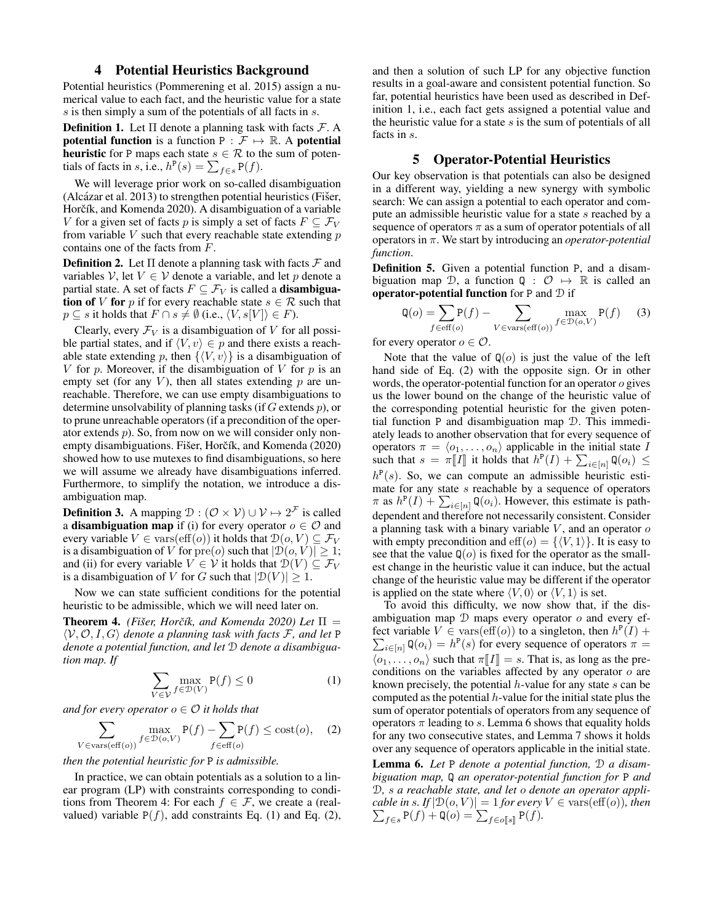## 4 Potential Heuristics Background

Potential heuristics (Pommerening et al. 2015) assign a numerical value to each fact, and the heuristic value for a state s is then simply a sum of the potentials of all facts in s.

**Definition 1.** Let  $\Pi$  denote a planning task with facts  $\mathcal{F}$ . A potential function is a function  $P : \mathcal{F} \mapsto \mathbb{R}$ . A potential **heuristic** for P maps each state  $s \in \mathcal{R}$  to the sum of potentials of facts in s, i.e.,  $h^P(s) = \sum_{f \in s} P(f)$ .

We will leverage prior work on so-called disambiguation  $(A)$ lcázar et al. 2013) to strengthen potential heuristics (Fiser, Horčík, and Komenda 2020). A disambiguation of a variable V for a given set of facts p is simply a set of facts  $F \subseteq \mathcal{F}_V$ from variable  $V$  such that every reachable state extending  $p$ contains one of the facts from F.

**Definition 2.** Let  $\Pi$  denote a planning task with facts  $\mathcal F$  and variables V, let  $V \in V$  denote a variable, and let p denote a partial state. A set of facts  $F \subseteq \mathcal{F}_V$  is called a **disambigua**tion of V for p if for every reachable state  $s \in \mathcal{R}$  such that  $p \subseteq s$  it holds that  $F \cap s \neq \emptyset$  (i.e.,  $\langle V, s[V] \rangle \in F$ ).

Clearly, every  $\mathcal{F}_V$  is a disambiguation of V for all possible partial states, and if  $\langle V, v \rangle \in p$  and there exists a reachable state extending p, then  $\{ \langle V, v \rangle \}$  is a disambiguation of V for p. Moreover, if the disambiguation of V for p is an empty set (for any  $V$ ), then all states extending  $p$  are unreachable. Therefore, we can use empty disambiguations to determine unsolvability of planning tasks (if  $G$  extends  $p$ ), or to prune unreachable operators (if a precondition of the operator extends  $p$ ). So, from now on we will consider only nonempty disambiguations. Fišer, Horčík, and Komenda (2020) showed how to use mutexes to find disambiguations, so here we will assume we already have disambiguations inferred. Furthermore, to simplify the notation, we introduce a disambiguation map.

**Definition 3.** A mapping  $\mathcal{D} : (\mathcal{O} \times \mathcal{V}) \cup \mathcal{V} \mapsto 2^{\mathcal{F}}$  is called a **disambiguation map** if (i) for every operator  $o \in \mathcal{O}$  and every variable  $V \in \text{vars}(\text{eff}(o))$  it holds that  $\mathcal{D}(o, V) \subseteq \mathcal{F}_V$ is a disambiguation of V for  $pre(o)$  such that  $|\mathcal{D}(o, V)| \geq 1$ ; and (ii) for every variable  $V \in V$  it holds that  $\mathcal{D}(V) \subseteq \mathcal{F}_V$ is a disambiguation of V for G such that  $|\mathcal{D}(V)| \geq 1$ .

Now we can state sufficient conditions for the potential heuristic to be admissible, which we will need later on.

**Theorem 4.** *(Fišer, Horčík, and Komenda 2020) Let*  $\Pi$  =  $\langle V, O, I, G \rangle$  *denote a planning task with facts* F, and let P *denote a potential function, and let* D *denote a disambiguation map. If*

$$
\sum_{V \in \mathcal{V}} \max_{f \in \mathcal{D}(V)} \mathsf{P}(f) \le 0 \tag{1}
$$

*and for every operator*  $o \in \mathcal{O}$  *it holds that* 

$$
\sum_{V \in \text{vars}(eff(o))} \max_{f \in \mathcal{D}(o,V)} \mathbf{P}(f) - \sum_{f \in \text{eff}(o)} \mathbf{P}(f) \le \text{cost}(o), \quad (2)
$$

*then the potential heuristic for* P *is admissible.*

In practice, we can obtain potentials as a solution to a linear program (LP) with constraints corresponding to conditions from Theorem 4: For each  $f \in \mathcal{F}$ , we create a (realvalued) variable  $P(f)$ , add constraints Eq. (1) and Eq. (2), and then a solution of such LP for any objective function results in a goal-aware and consistent potential function. So far, potential heuristics have been used as described in Definition 1, i.e., each fact gets assigned a potential value and the heuristic value for a state  $s$  is the sum of potentials of all facts in s.

## 5 Operator-Potential Heuristics

Our key observation is that potentials can also be designed in a different way, yielding a new synergy with symbolic search: We can assign a potential to each operator and compute an admissible heuristic value for a state s reached by a sequence of operators  $\pi$  as a sum of operator potentials of all operators in π. We start by introducing an *operator-potential function*.

Definition 5. Given a potential function P, and a disambiguation map D, a function  $Q : \mathcal{O} \mapsto \mathbb{R}$  is called an operator-potential function for P and  $\mathcal D$  if

$$
\mathbf{Q}(o) = \sum_{f \in \text{eff}(o)} \mathbf{P}(f) - \sum_{V \in \text{vars}(\text{eff}(o))} \max_{f \in \mathcal{D}(o,V)} \mathbf{P}(f) \tag{3}
$$

for every operator  $o \in \mathcal{O}$ .

Note that the value of  $\mathbb{Q}(o)$  is just the value of the left hand side of Eq. (2) with the opposite sign. Or in other words, the operator-potential function for an operator o gives us the lower bound on the change of the heuristic value of the corresponding potential heuristic for the given potential function P and disambiguation map D. This immediately leads to another observation that for every sequence of operators  $\pi = \langle o_1, \ldots, o_n \rangle$  applicable in the initial state I such that  $s = \pi[[I]]$  it holds that  $h^P(I) + \sum_{i \in [n]} Q(o_i) \le$  $h^{P}(s)$ . So, we can compute an admissible heuristic estimate for any state  $s$  reachable by a sequence of operators  $\pi$  as  $h^{\mathsf{P}}(I) + \sum_{i \in [n]} \mathsf{Q}(o_i)$ . However, this estimate is pathdependent and therefore not necessarily consistent. Consider a planning task with a binary variable  $V$ , and an operator  $o$ with empty precondition and  $\mathrm{eff}(o) = \{ \langle V, 1 \rangle \}$ . It is easy to see that the value  $\mathbb{Q}(o)$  is fixed for the operator as the smallest change in the heuristic value it can induce, but the actual change of the heuristic value may be different if the operator is applied on the state where  $\langle V, 0 \rangle$  or  $\langle V, 1 \rangle$  is set.

To avoid this difficulty, we now show that, if the disambiguation map  $D$  maps every operator  $o$  and every effect variable  $V \in \text{vars}(\text{eff}(o))$  to a singleton, then  $h^P(I)$  +  $\sum_{i \in [n]} \mathsf{Q}(o_i) = h^{\mathsf{P}}(s)$  for every sequence of operators  $\pi =$  $\langle o_1, \ldots, o_n \rangle$  such that  $\pi[\![I]\!] = s$ . That is, as long as the preconditions on the variables affected by any operator o are known precisely, the potential  $h$ -value for any state  $s$  can be computed as the potential  $h$ -value for the initial state plus the sum of operator potentials of operators from any sequence of operators  $\pi$  leading to s. Lemma 6 shows that equality holds for any two consecutive states, and Lemma 7 shows it holds over any sequence of operators applicable in the initial state.

Lemma 6. *Let* P *denote a potential function,* D *a disambiguation map,* Q *an operator-potential function for* P *and* D*,* s *a reachable state, and let* o *denote an operator applicable in s.* If  $|\mathcal{D}(o, V)| = 1$  *for every*  $V \in \text{vars}(\text{eff}(o))$ *, then*  $\sum_{f \in s} P(f) + Q(o) = \sum_{f \in o[[s]]} P(f).$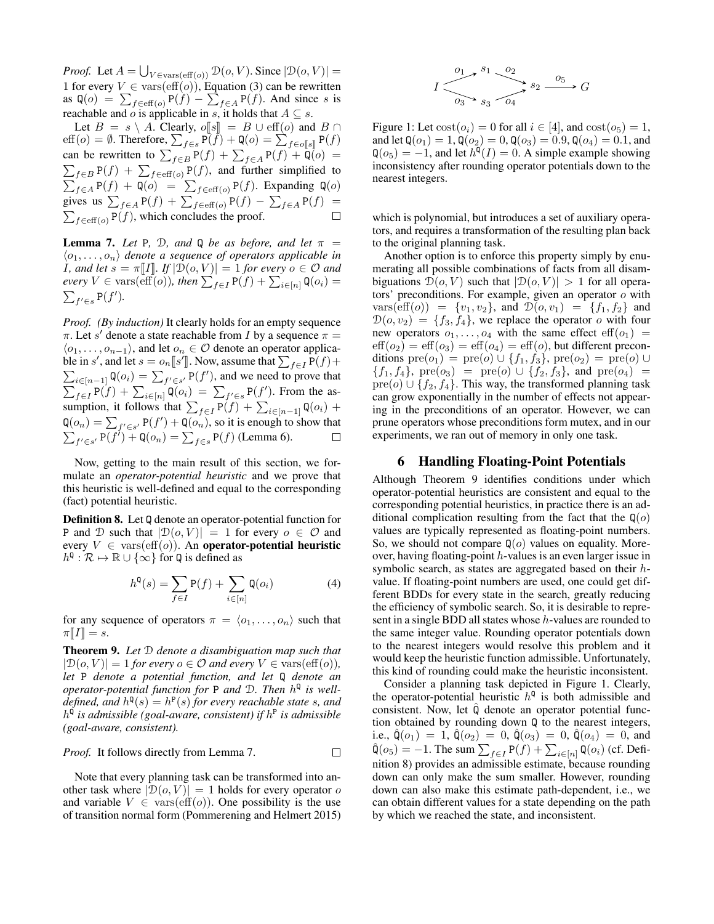*Proof.* Let  $A = \bigcup_{V \in \text{vars}(\text{eff}(o))} \mathcal{D}(o, V)$ . Since  $|\mathcal{D}(o, V)| =$ 1 for every  $V \in \text{vars}(\text{eff}(o))$ , Equation (3) can be rewritten as  $\mathbf{Q}(o) = \sum_{f \in \text{eff}(o)} \mathbf{P}(f) - \sum_{f \in A} \mathbf{P}(f)$ . And since s is reachable and o is applicable in s, it holds that  $A \subseteq s$ .

Let  $B = s \setminus A$ . Clearly,  $o[[s]] = B \cup \text{eff}(o)$  and  $B \cap$ eff(*o*) =  $\emptyset$ . Therefore,  $\sum_{f \in s} P(f) + Q(o) = \sum_{f \in o[[s]]} P(f)$ FIFFOR THE REGIST  $\sum_{f \in B} \mathbf{F}(f) + \mathbf{Q}(0) = \sum_{f \in B} \mathbf{F}(f) + \mathbf{Q}(0) =$ <br>can be rewritten to  $\sum_{f \in B} \mathbf{P}(f) + \sum_{f \in A} \mathbf{P}(f) + \mathbf{Q}(0) =$  $\sum_{f \in B} P(f) + \sum_{f \in \text{eff}(o)} P(f)$ , and further simplified to  $\sum_{f \in A} P(f) + Q(o) = \sum_{f \in \text{eff}(o)} P(f)$ . Expanding Q(o) gives us  $\sum_{f \in A} P(f) + \sum_{f \in \text{eff}(o)} P(f) - \sum_{f \in A} P(f) =$  $\sum_{f \in \text{eff}(o)} P(f)$ , which concludes the proof.  $\Box$ 

**Lemma 7.** Let P, D, and Q be as before, and let  $\pi$  =  $\langle o_1, \ldots, o_n \rangle$  denote a sequence of operators applicable in *I*, and let  $s = \pi[[I]]$ . If  $|\mathcal{D}(o, V)| = 1$  for every  $o \in \mathcal{O}$  and every  $V \in \text{vars}(\text{eff}(o))$ , then  $\sum_{f \in I} P(f) + \sum_{i \in [n]} \mathbb{Q}(o_i) =$  $\sum_{f' \in s} P(f')$ .

*Proof. (By induction)* It clearly holds for an empty sequence  $\pi$ . Let s' denote a state reachable from I by a sequence  $\pi =$  $\langle o_1, \ldots, o_{n-1} \rangle$ , and let  $o_n \in \mathcal{O}$  denote an operator applicable in s', and let  $s = o_n[s']$ . Now, assume that  $\sum_{f \in I} P(f) +$  $\sum_{i \in [n-1]} \mathsf{Q}(o_i) = \sum_{f' \in s'} \mathsf{P}(f')$ , and we need to prove that  $\sum_{f \in I} P(f) + \sum_{i \in [n]} Q(o_i) = \sum_{f' \in s} P(f')$ . From the assumption, it follows that  $\sum_{f \in I} P(f) + \sum_{i \in [n-1]} Q(o_i)$  +  $\mathsf{Q}(o_n) = \sum_{f' \in s'} \mathsf{P}(f') + \mathsf{Q}(o_n)$ , so it is enough to show that  $\sum_{f' \in s'} P(f') + \mathsf{Q}(o_n) = \sum_{f \in s} P(f)$  (Lemma 6).

Now, getting to the main result of this section, we formulate an *operator-potential heuristic* and we prove that this heuristic is well-defined and equal to the corresponding (fact) potential heuristic.

Definition 8. Let Q denote an operator-potential function for P and D such that  $|\mathcal{D}(o, V)| = 1$  for every  $o \in \mathcal{O}$  and every  $V \in \text{vars}(\text{eff}(o))$ . An operator-potential heuristic  $h^{\mathsf{Q}} : \mathcal{R} \mapsto \mathbb{R} \cup \{ \infty \}$  for  $\mathsf{Q}$  is defined as

$$
h^{\mathbf{Q}}(s) = \sum_{f \in I} \mathbf{P}(f) + \sum_{i \in [n]} \mathbf{Q}(o_i)
$$
 (4)

for any sequence of operators  $\pi = \langle o_1, \ldots, o_n \rangle$  such that  $\pi[[I]] = s.$ 

Theorem 9. *Let* D *denote a disambiguation map such that*  $|\mathcal{D}(o, V)| = 1$  *for every*  $o \in \mathcal{O}$  *and every*  $V \in \text{vars}(\text{eff}(o))$ *, let* P *denote a potential function, and let* Q *denote an operator-potential function for* P *and* D*. Then* h Q *is well*defined, and  $h^{\mathsf{Q}}(s) = h^{\mathsf{P}}(s)$  for every reachable state s, and h Q *is admissible (goal-aware, consistent) if* h P *is admissible (goal-aware, consistent).*

*Proof.* It follows directly from Lemma 7.  $\Box$ 

Note that every planning task can be transformed into another task where  $|\mathcal{D}(o, V)| = 1$  holds for every operator o and variable  $V \in \text{vars}(\text{eff}(o))$ . One possibility is the use of transition normal form (Pommerening and Helmert 2015)

$$
I \xrightarrow{\begin{array}{c} 0_1 \end{array}} s_1 \xrightarrow{\begin{array}{c} 0_2 \\ 0_3 \end{array}} s_2 \xrightarrow{\begin{array}{c} 0_5 \\ 0_4 \end{array}} G
$$

Figure 1: Let  $cost(o_i) = 0$  for all  $i \in [4]$ , and  $cost(o_5) = 1$ , and let  $Q(o_1) = 1$ ,  $Q(o_2) = 0$ ,  $Q(o_3) = 0.9$ ,  $Q(o_4) = 0.1$ , and  $\mathsf{Q}(o_5) = -1$ , and let  $h^{\mathsf{Q}}(I) = 0$ . A simple example showing inconsistency after rounding operator potentials down to the nearest integers.

which is polynomial, but introduces a set of auxiliary operators, and requires a transformation of the resulting plan back to the original planning task.

Another option is to enforce this property simply by enumerating all possible combinations of facts from all disambiguations  $\mathcal{D}(o, V)$  such that  $|\mathcal{D}(o, V)| > 1$  for all operators' preconditions. For example, given an operator o with vars(eff(o)) =  $\{v_1, v_2\}$ , and  $\mathcal{D}(o, v_1) = \{f_1, f_2\}$  and  $\mathcal{D}(o, v_2) = \{f_3, f_4\}$ , we replace the operator o with four new operators  $o_1, \ldots, o_4$  with the same effect  $\text{eff}(o_1)$  =  $\text{eff}(o_2) = \text{eff}(o_3) = \text{eff}(o_4) = \text{eff}(o)$ , but different preconditions  $pre(o_1) = pre(o) \cup \{f_1, f_3\}$ ,  $pre(o_2) = pre(o) \cup$  ${f_1, f_4}$ , pre $(o_3)$  = pre $(o) \cup {f_2, f_3}$ , and pre $(o_4)$  =  $\text{pre}(o) \cup \{f_2, f_4\}.$  This way, the transformed planning task can grow exponentially in the number of effects not appearing in the preconditions of an operator. However, we can prune operators whose preconditions form mutex, and in our experiments, we ran out of memory in only one task.

## 6 Handling Floating-Point Potentials

Although Theorem 9 identifies conditions under which operator-potential heuristics are consistent and equal to the corresponding potential heuristics, in practice there is an additional complication resulting from the fact that the  $\mathbb{Q}(o)$ values are typically represented as floating-point numbers. So, we should not compare  $\mathbb{Q}(o)$  values on equality. Moreover, having floating-point h-values is an even larger issue in symbolic search, as states are aggregated based on their hvalue. If floating-point numbers are used, one could get different BDDs for every state in the search, greatly reducing the efficiency of symbolic search. So, it is desirable to represent in a single BDD all states whose h-values are rounded to the same integer value. Rounding operator potentials down to the nearest integers would resolve this problem and it would keep the heuristic function admissible. Unfortunately, this kind of rounding could make the heuristic inconsistent.

Consider a planning task depicted in Figure 1. Clearly, the operator-potential heuristic  $h^{Q}$  is both admissible and consistent. Now, let  $\hat{Q}$  denote an operator potential function obtained by rounding down Q to the nearest integers, i.e.,  $\mathbb{Q}(o_1) = 1$ ,  $\mathbb{Q}(o_2) = 0$ ,  $\mathbb{Q}(o_3) = 0$ ,  $\mathbb{Q}(o_4) = 0$ , and  $\hat{\mathsf{Q}}(o_5) = -1$ . The sum  $\sum_{f \in I} \mathsf{P}(f) + \sum_{i \in [n]} \mathsf{Q}(o_i)$  (cf. Definition 8) provides an admissible estimate, because rounding down can only make the sum smaller. However, rounding down can also make this estimate path-dependent, i.e., we can obtain different values for a state depending on the path by which we reached the state, and inconsistent.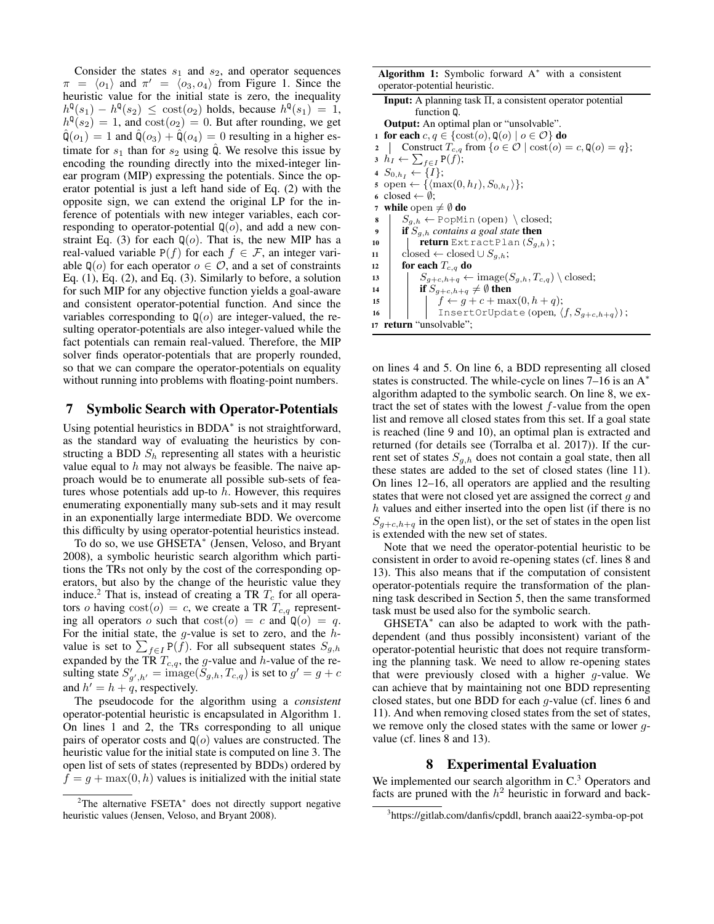Consider the states  $s_1$  and  $s_2$ , and operator sequences  $\pi = \langle o_1 \rangle$  and  $\pi' = \langle o_3, o_4 \rangle$  from Figure 1. Since the heuristic value for the initial state is zero, the inequality  $h^{\mathfrak{q}}(s_1) - h^{\mathfrak{q}}(s_2) \leq \text{cost}(o_2)$  holds, because  $h^{\mathfrak{q}}(s_1) = 1$ ,  $h^{\mathfrak{q}}(s_2) = 1$ , and  $\text{cost}(o_2) = 0$ . But after rounding, we get  $\hat{\mathsf{Q}}(o_1) = 1$  and  $\hat{\mathsf{Q}}(o_3) + \hat{\mathsf{Q}}(o_4) = 0$  resulting in a higher estimate for  $s_1$  than for  $s_2$  using  $\hat{Q}$ . We resolve this issue by encoding the rounding directly into the mixed-integer linear program (MIP) expressing the potentials. Since the operator potential is just a left hand side of Eq. (2) with the opposite sign, we can extend the original LP for the inference of potentials with new integer variables, each corresponding to operator-potential  $\mathbb{Q}(o)$ , and add a new constraint Eq. (3) for each  $\mathbb{Q}(o)$ . That is, the new MIP has a real-valued variable  $P(f)$  for each  $f \in \mathcal{F}$ , an integer variable  $\mathbb{Q}(o)$  for each operator  $o \in \mathcal{O}$ , and a set of constraints Eq. (1), Eq. (2), and Eq. (3). Similarly to before, a solution for such MIP for any objective function yields a goal-aware and consistent operator-potential function. And since the variables corresponding to  $\mathbb{Q}(o)$  are integer-valued, the resulting operator-potentials are also integer-valued while the fact potentials can remain real-valued. Therefore, the MIP solver finds operator-potentials that are properly rounded, so that we can compare the operator-potentials on equality without running into problems with floating-point numbers.

## 7 Symbolic Search with Operator-Potentials

Using potential heuristics in BDDA<sup>\*</sup> is not straightforward, as the standard way of evaluating the heuristics by constructing a BDD  $S_h$  representing all states with a heuristic value equal to  $h$  may not always be feasible. The naive approach would be to enumerate all possible sub-sets of features whose potentials add up-to  $h$ . However, this requires enumerating exponentially many sub-sets and it may result in an exponentially large intermediate BDD. We overcome this difficulty by using operator-potential heuristics instead.

To do so, we use GHSETA<sup>∗</sup> (Jensen, Veloso, and Bryant 2008), a symbolic heuristic search algorithm which partitions the TRs not only by the cost of the corresponding operators, but also by the change of the heuristic value they induce.<sup>2</sup> That is, instead of creating a TR  $T_c$  for all operators o having  $cost(o) = c$ , we create a TR  $T_{c,q}$  representing all operators o such that  $cost(o) = c$  and  $Q(o) = q$ . For the initial state, the  $g$ -value is set to zero, and the  $h$ value is set to  $\sum_{f \in I} P(f)$ . For all subsequent states  $S_{g,h}$ expanded by the TR  $T_{c,q}$ , the g-value and h-value of the resulting state  $S'_{g',h'} = \text{image}(\tilde{S}_{g,h}, T_{c,q})$  is set to  $g' = g + c$ and  $h' = h + q$ , respectively.

The pseudocode for the algorithm using a *consistent* operator-potential heuristic is encapsulated in Algorithm 1. On lines 1 and 2, the TRs corresponding to all unique pairs of operator costs and  $\mathbb{Q}(o)$  values are constructed. The heuristic value for the initial state is computed on line 3. The open list of sets of states (represented by BDDs) ordered by  $f = g + \max(0, h)$  values is initialized with the initial state

| <b>Algorithm 1:</b> Symbolic forward $A^*$ with a consistent |  |  |  |  |  |  |  |  |  |  |
|--------------------------------------------------------------|--|--|--|--|--|--|--|--|--|--|
| operator-potential heuristic.                                |  |  |  |  |  |  |  |  |  |  |

| <b>Input:</b> A planning task $\Pi$ , a consistent operator potential<br>function Q.         |  |  |  |  |  |  |
|----------------------------------------------------------------------------------------------|--|--|--|--|--|--|
|                                                                                              |  |  |  |  |  |  |
| <b>Output:</b> An optimal plan or "unsolvable".                                              |  |  |  |  |  |  |
| 1 for each $c, q \in \{\text{cost}(o), \mathbb{Q}(o) \mid o \in \mathcal{O}\}\)$ do          |  |  |  |  |  |  |
| Construct $T_{c,q}$ from $\{o \in \mathcal{O} \mid \text{cost}(o) = c, \mathbb{Q}(o) = q\};$ |  |  |  |  |  |  |
| $h_I \leftarrow \sum_{f \in I} P(f);$                                                        |  |  |  |  |  |  |
| $4 S_{0,h} \leftarrow \{I\};$                                                                |  |  |  |  |  |  |
| $\mathfrak{s}$ open $\leftarrow \{\langle \max(0, h_I), S_{0,h_I} \rangle\};$                |  |  |  |  |  |  |
| 6 closed $\leftarrow \emptyset$ ;                                                            |  |  |  |  |  |  |
| while open $\neq \emptyset$ do                                                               |  |  |  |  |  |  |
| $S_{a,h} \leftarrow$ PopMin (open) \closed;<br>8                                             |  |  |  |  |  |  |
| <b>if</b> $S_{q,h}$ contains a goal state <b>then</b><br>$\boldsymbol{9}$                    |  |  |  |  |  |  |
| <b>return</b> ExtractPlan( $S_{g,h}$ );<br>10                                                |  |  |  |  |  |  |
| closed $\leftarrow$ closed $\cup S_{a,h}$ ;<br>11                                            |  |  |  |  |  |  |
| for each $T_{c,q}$ do<br>12                                                                  |  |  |  |  |  |  |
| $S_{g+c,h+q} \leftarrow \text{image}(S_{g,h}, T_{c,q}) \setminus \text{closed};$<br>13       |  |  |  |  |  |  |
| if $S_{a+c,h+a} \neq \emptyset$ then<br>14                                                   |  |  |  |  |  |  |
| $\left  \quad f \leftarrow g + c + \max(0, h + q); \right.$<br>15                            |  |  |  |  |  |  |
| InsertOrUpdate (open, $\langle f, S_{g+c,h+q} \rangle$ );<br>16                              |  |  |  |  |  |  |
| return "unsolvable";<br>17                                                                   |  |  |  |  |  |  |

on lines 4 and 5. On line 6, a BDD representing all closed states is constructed. The while-cycle on lines 7–16 is an A<sup>\*</sup> algorithm adapted to the symbolic search. On line 8, we extract the set of states with the lowest  $f$ -value from the open list and remove all closed states from this set. If a goal state is reached (line 9 and 10), an optimal plan is extracted and returned (for details see (Torralba et al. 2017)). If the current set of states  $S_{a,h}$  does not contain a goal state, then all these states are added to the set of closed states (line 11). On lines 12–16, all operators are applied and the resulting states that were not closed yet are assigned the correct  $q$  and h values and either inserted into the open list (if there is no  $S_{q+c,h+q}$  in the open list), or the set of states in the open list is extended with the new set of states.

Note that we need the operator-potential heuristic to be consistent in order to avoid re-opening states (cf. lines 8 and 13). This also means that if the computation of consistent operator-potentials require the transformation of the planning task described in Section 5, then the same transformed task must be used also for the symbolic search.

GHSETA<sup>\*</sup> can also be adapted to work with the pathdependent (and thus possibly inconsistent) variant of the operator-potential heuristic that does not require transforming the planning task. We need to allow re-opening states that were previously closed with a higher g-value. We can achieve that by maintaining not one BDD representing closed states, but one BDD for each g-value (cf. lines 6 and 11). And when removing closed states from the set of states, we remove only the closed states with the same or lower gvalue (cf. lines 8 and 13).

## 8 Experimental Evaluation

We implemented our search algorithm in  $C<sup>3</sup>$  Operators and facts are pruned with the  $h^2$  heuristic in forward and back-

<sup>&</sup>lt;sup>2</sup>The alternative FSETA<sup>\*</sup> does not directly support negative heuristic values (Jensen, Veloso, and Bryant 2008).

<sup>3</sup> https://gitlab.com/danfis/cpddl, branch aaai22-symba-op-pot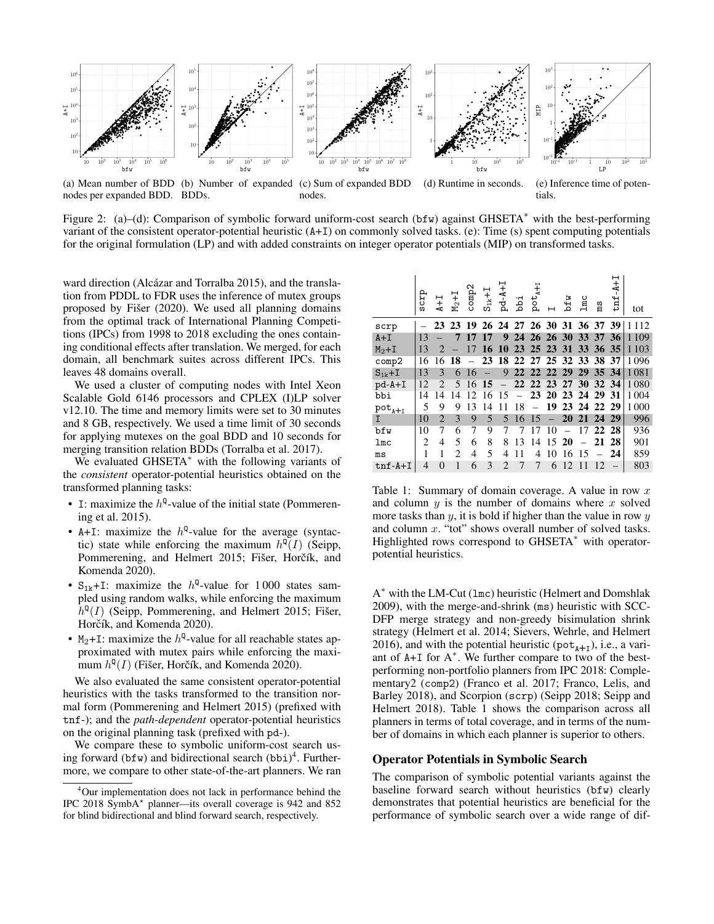

(a) Mean number of BDD (b) Number of expanded (c) Sum of expanded BDD nodes per expanded BDD. BDDs. nodes. (d) Runtime in seconds. (e) Inference time of potentials.

Figure 2: (a)–(d): Comparison of symbolic forward uniform-cost search (bfw) against GHSETA<sup>∗</sup> with the best-performing variant of the consistent operator-potential heuristic (A+I) on commonly solved tasks. (e): Time (s) spent computing potentials for the original formulation (LP) and with added constraints on integer operator potentials (MIP) on transformed tasks.

ward direction (Alcázar and Torralba 2015), and the translation from PDDL to FDR uses the inference of mutex groups proposed by Fišer  $(2020)$ . We used all planning domains from the optimal track of International Planning Competitions (IPCs) from 1998 to 2018 excluding the ones containing conditional effects after translation. We merged, for each domain, all benchmark suites across different IPCs. This leaves 48 domains overall.

We used a cluster of computing nodes with Intel Xeon Scalable Gold 6146 processors and CPLEX (I)LP solver v12.10. The time and memory limits were set to 30 minutes and 8 GB, respectively. We used a time limit of 30 seconds for applying mutexes on the goal BDD and 10 seconds for merging transition relation BDDs (Torralba et al. 2017).

We evaluated GHSETA<sup>\*</sup> with the following variants of the *consistent* operator-potential heuristics obtained on the transformed planning tasks:

- I: maximize the  $h^{Q}$ -value of the initial state (Pommerening et al. 2015).
- A+I: maximize the  $h^Q$ -value for the average (syntactic) state while enforcing the maximum  $h^{\mathbb{Q}}(I)$  (Seipp, Pommerening, and Helmert 2015; Fišer, Horčík, and Komenda 2020).
- $S_{1k}$ +I: maximize the  $h^{Q}$ -value for 1000 states sampled using random walks, while enforcing the maximum  $h^{\mathbb{Q}}(I)$  (Seipp, Pommerening, and Helmert 2015; Fišer, Horčík, and Komenda 2020).
- $M_2+I$ : maximize the  $h^Q$ -value for all reachable states approximated with mutex pairs while enforcing the maximum  $h^{\mathbb{Q}}(I)$  (Fišer, Horčík, and Komenda 2020).

We also evaluated the same consistent operator-potential heuristics with the tasks transformed to the transition normal form (Pommerening and Helmert 2015) (prefixed with tnf-); and the *path-dependent* operator-potential heuristics on the original planning task (prefixed with pd-).

We compare these to symbolic uniform-cost search using forward (bfw) and bidirectional search  $(bbi)^4$ . Furthermore, we compare to other state-of-the-art planners. We ran

|             | grop           | $\ddot{+}$                  | $M_2+I$ | comp2                    | $S_{1k}+I$    | $Pd-A+1$          | iqq      | $\texttt{pot}_{\texttt{A}+1}$ |                | bfw      | $_{\text{1mc}}$            | ms       | н<br>$\ddot{ }$<br>tnf              | tot     |
|-------------|----------------|-----------------------------|---------|--------------------------|---------------|-------------------|----------|-------------------------------|----------------|----------|----------------------------|----------|-------------------------------------|---------|
| scrp        |                |                             |         |                          |               |                   |          |                               |                |          |                            |          | 23 23 19 26 24 27 26 30 31 36 37 39 | 1 1 1 2 |
| $A+I$       | 13             |                             | 7       | 17 17                    |               | 9                 |          |                               | 24 26 26 30 33 |          |                            | 37 36    |                                     | 1 1 0 9 |
| $M2+I$      | 13             | $\mathcal{D}_{\cdot}$       |         | 17                       |               | 16 10 23 25 23 31 |          |                               |                |          |                            | 33 36 35 |                                     | 1 1 0 3 |
| comp2       | 16             | 16                          | 18      | $\overline{\phantom{m}}$ |               |                   |          |                               |                |          | 23 18 22 27 25 32 33 38 37 |          |                                     | 1096    |
| $S_{1k}+I$  | 13             | 3                           | 6       | 16                       |               | 9                 |          |                               |                |          | 22 22 22 29 29 35 34       |          |                                     | 1 0 8 1 |
| $pd-A+I$    | 12             | $\mathcal{D}_{\mathcal{L}}$ | 5       | 16                       | 15            |                   |          |                               | 22 22 23 27    |          | <b>30</b>                  | 32 34    |                                     | 1 0 8 0 |
| bbi         | 14             | 14                          | 14      | 12                       | 16            | 15                | $\equiv$ |                               |                |          | 23 20 23 24 29 31          |          |                                     | 1 0 0 4 |
| $pot_{A+I}$ | 5              | 9                           | 9       | 13                       | 14            | 11                | 18       |                               | 19             |          | 23 24 22 29                |          |                                     | 1 0 0 0 |
| I           | 10             | $\overline{2}$              | 3       | 9                        | 5             | 5                 | 16       | 15                            |                |          | 20 21 24 29                |          |                                     | 996     |
| bfw         | 10             | 7                           | 6       | 7                        | 9             | 7                 | 7        | 17                            | 10             | $\equiv$ | 17                         |          | 22 28                               | 936     |
| 1mc         | $\overline{c}$ | 4                           | 5       | 6                        | 8             | 8                 | 13       | 14                            | 1520           |          |                            |          | 21 28                               | 901     |
| ms          | 1              | 1                           | 2       | 4                        | 5             | 4                 | 11       | 4                             | 10             | 16       | 15                         |          | -24                                 | 859     |
| $tnf-A+I$   | $\overline{4}$ | $\Omega$                    | 1       | 6                        | $\mathcal{E}$ | $\mathfrak{D}$    | 7        | 7                             | 6              | 12       | 11                         | 12.      |                                     | 803     |

Table 1: Summary of domain coverage. A value in row  $x$ and column  $y$  is the number of domains where  $x$  solved more tasks than  $y$ , it is bold if higher than the value in row  $y$ and column x. "tot" shows overall number of solved tasks. Highlighted rows correspond to GHSETA<sup>∗</sup> with operatorpotential heuristics.

A <sup>∗</sup> with the LM-Cut (lmc) heuristic (Helmert and Domshlak 2009), with the merge-and-shrink (ms) heuristic with SCC-DFP merge strategy and non-greedy bisimulation shrink strategy (Helmert et al. 2014; Sievers, Wehrle, and Helmert 2016), and with the potential heuristic ( $pot_{A+I}$ ), i.e., a variant of  $A+I$  for  $A^*$ . We further compare to two of the bestperforming non-portfolio planners from IPC 2018: Complementary2 (comp2) (Franco et al. 2017; Franco, Lelis, and Barley 2018), and Scorpion (scrp) (Seipp 2018; Seipp and Helmert 2018). Table 1 shows the comparison across all planners in terms of total coverage, and in terms of the number of domains in which each planner is superior to others.

## Operator Potentials in Symbolic Search

The comparison of symbolic potential variants against the baseline forward search without heuristics (bfw) clearly demonstrates that potential heuristics are beneficial for the performance of symbolic search over a wide range of dif-

<sup>&</sup>lt;sup>4</sup>Our implementation does not lack in performance behind the IPC 2018 SymbA? planner—its overall coverage is 942 and 852 for blind bidirectional and blind forward search, respectively.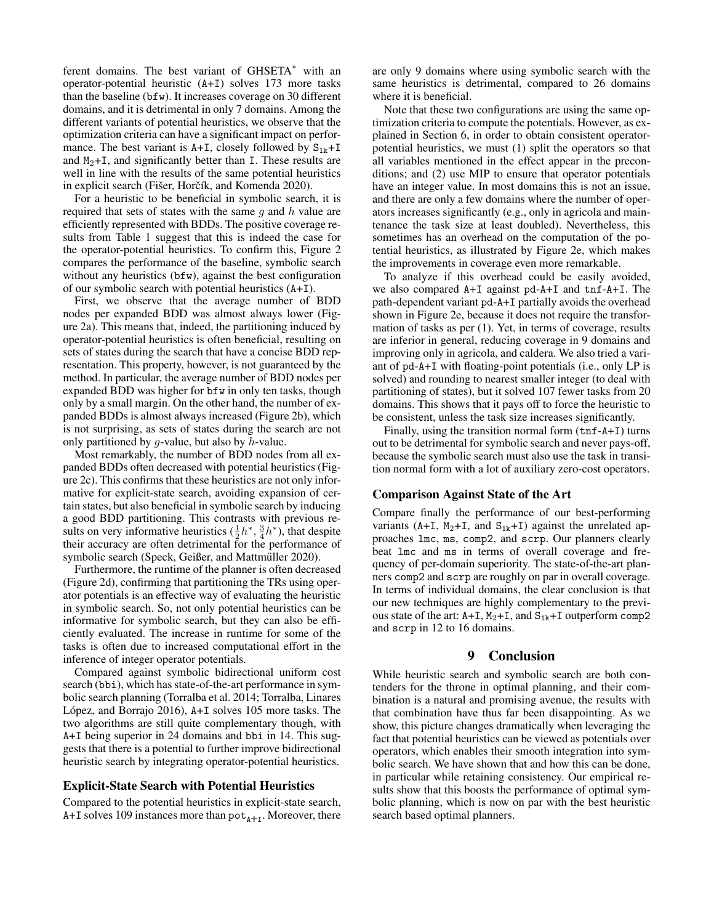ferent domains. The best variant of GHSETA<sup>\*</sup> with an operator-potential heuristic (A+I) solves 173 more tasks than the baseline (bfw). It increases coverage on 30 different domains, and it is detrimental in only 7 domains. Among the different variants of potential heuristics, we observe that the optimization criteria can have a significant impact on performance. The best variant is  $A+I$ , closely followed by  $S_{1k}+I$ and  $M_2+I$ , and significantly better than I. These results are well in line with the results of the same potential heuristics in explicit search (Fišer, Horčík, and Komenda 2020).

For a heuristic to be beneficial in symbolic search, it is required that sets of states with the same  $g$  and  $h$  value are efficiently represented with BDDs. The positive coverage results from Table 1 suggest that this is indeed the case for the operator-potential heuristics. To confirm this, Figure 2 compares the performance of the baseline, symbolic search without any heuristics (bfw), against the best configuration of our symbolic search with potential heuristics (A+I).

First, we observe that the average number of BDD nodes per expanded BDD was almost always lower (Figure 2a). This means that, indeed, the partitioning induced by operator-potential heuristics is often beneficial, resulting on sets of states during the search that have a concise BDD representation. This property, however, is not guaranteed by the method. In particular, the average number of BDD nodes per expanded BDD was higher for bfw in only ten tasks, though only by a small margin. On the other hand, the number of expanded BDDs is almost always increased (Figure 2b), which is not surprising, as sets of states during the search are not only partitioned by  $q$ -value, but also by  $h$ -value.

Most remarkably, the number of BDD nodes from all expanded BDDs often decreased with potential heuristics (Figure 2c). This confirms that these heuristics are not only informative for explicit-state search, avoiding expansion of certain states, but also beneficial in symbolic search by inducing a good BDD partitioning. This contrasts with previous results on very informative heuristics  $(\frac{1}{2}h^*, \frac{3}{4}h^*)$ , that despite their accuracy are often detrimental for the performance of symbolic search (Speck, Geißer, and Mattmüller 2020).

Furthermore, the runtime of the planner is often decreased (Figure 2d), confirming that partitioning the TRs using operator potentials is an effective way of evaluating the heuristic in symbolic search. So, not only potential heuristics can be informative for symbolic search, but they can also be efficiently evaluated. The increase in runtime for some of the tasks is often due to increased computational effort in the inference of integer operator potentials.

Compared against symbolic bidirectional uniform cost search (bbi), which has state-of-the-art performance in symbolic search planning (Torralba et al. 2014; Torralba, Linares López, and Borrajo  $2016$ ),  $A+I$  solves 105 more tasks. The two algorithms are still quite complementary though, with A+I being superior in 24 domains and bbi in 14. This suggests that there is a potential to further improve bidirectional heuristic search by integrating operator-potential heuristics.

## Explicit-State Search with Potential Heuristics

Compared to the potential heuristics in explicit-state search,  $A+I$  solves 109 instances more than  $pot_{A+I}$ . Moreover, there

are only 9 domains where using symbolic search with the same heuristics is detrimental, compared to 26 domains where it is beneficial.

Note that these two configurations are using the same optimization criteria to compute the potentials. However, as explained in Section 6, in order to obtain consistent operatorpotential heuristics, we must (1) split the operators so that all variables mentioned in the effect appear in the preconditions; and (2) use MIP to ensure that operator potentials have an integer value. In most domains this is not an issue, and there are only a few domains where the number of operators increases significantly (e.g., only in agricola and maintenance the task size at least doubled). Nevertheless, this sometimes has an overhead on the computation of the potential heuristics, as illustrated by Figure 2e, which makes the improvements in coverage even more remarkable.

To analyze if this overhead could be easily avoided, we also compared A+I against pd-A+I and tnf-A+I. The path-dependent variant pd-A+I partially avoids the overhead shown in Figure 2e, because it does not require the transformation of tasks as per (1). Yet, in terms of coverage, results are inferior in general, reducing coverage in 9 domains and improving only in agricola, and caldera. We also tried a variant of pd-A+I with floating-point potentials (i.e., only LP is solved) and rounding to nearest smaller integer (to deal with partitioning of states), but it solved 107 fewer tasks from 20 domains. This shows that it pays off to force the heuristic to be consistent, unless the task size increases significantly.

Finally, using the transition normal form (tnf-A+I) turns out to be detrimental for symbolic search and never pays-off, because the symbolic search must also use the task in transition normal form with a lot of auxiliary zero-cost operators.

### Comparison Against State of the Art

Compare finally the performance of our best-performing variants (A+I, M<sub>2</sub>+I, and S<sub>1k</sub>+I) against the unrelated approaches lmc, ms, comp2, and scrp. Our planners clearly beat lmc and ms in terms of overall coverage and frequency of per-domain superiority. The state-of-the-art planners comp2 and scrp are roughly on par in overall coverage. In terms of individual domains, the clear conclusion is that our new techniques are highly complementary to the previous state of the art:  $A+I$ ,  $M_2+I$ , and  $S_{1k}+I$  outperform comp2 and scrp in 12 to 16 domains.

## 9 Conclusion

While heuristic search and symbolic search are both contenders for the throne in optimal planning, and their combination is a natural and promising avenue, the results with that combination have thus far been disappointing. As we show, this picture changes dramatically when leveraging the fact that potential heuristics can be viewed as potentials over operators, which enables their smooth integration into symbolic search. We have shown that and how this can be done, in particular while retaining consistency. Our empirical results show that this boosts the performance of optimal symbolic planning, which is now on par with the best heuristic search based optimal planners.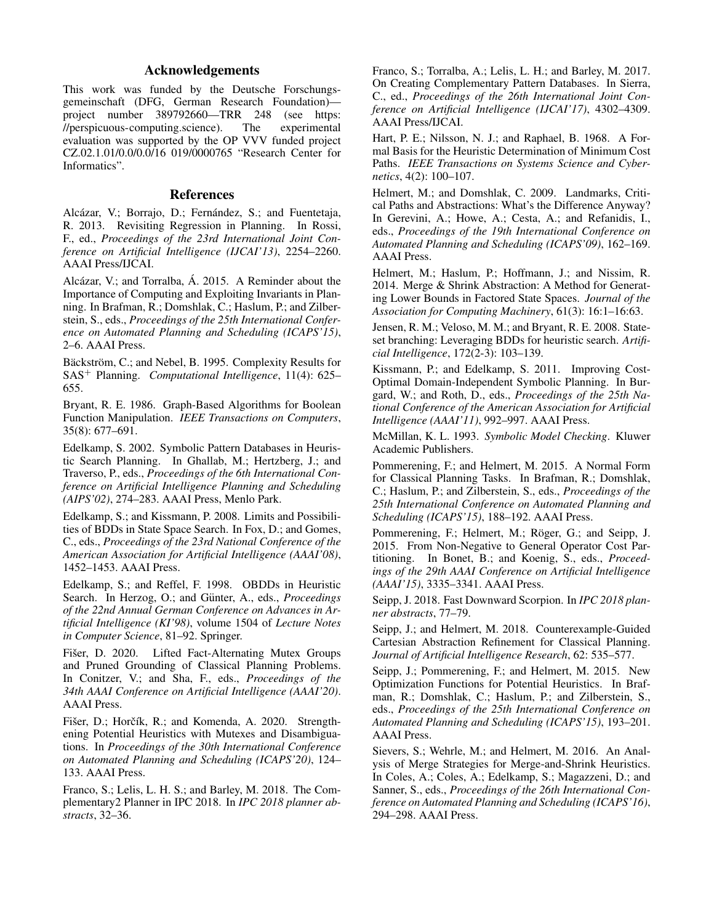# Acknowledgements

This work was funded by the Deutsche Forschungsgemeinschaft (DFG, German Research Foundation) project number 389792660—TRR 248 (see https: //perspicuous-computing.science). The experimental evaluation was supported by the OP VVV funded project CZ.02.1.01/0.0/0.0/16 019/0000765 "Research Center for Informatics".

## **References**

Alcázar, V.; Borrajo, D.; Fernández, S.; and Fuentetaja, R. 2013. Revisiting Regression in Planning. In Rossi, F., ed., *Proceedings of the 23rd International Joint Conference on Artificial Intelligence (IJCAI'13)*, 2254–2260. AAAI Press/IJCAI.

Alcázar, V.; and Torralba, Á. 2015. A Reminder about the Importance of Computing and Exploiting Invariants in Planning. In Brafman, R.; Domshlak, C.; Haslum, P.; and Zilberstein, S., eds., *Proceedings of the 25th International Conference on Automated Planning and Scheduling (ICAPS'15)*, 2–6. AAAI Press.

Bäckström, C.; and Nebel, B. 1995. Complexity Results for SAS<sup>+</sup> Planning. *Computational Intelligence*, 11(4): 625– 655.

Bryant, R. E. 1986. Graph-Based Algorithms for Boolean Function Manipulation. *IEEE Transactions on Computers*, 35(8): 677–691.

Edelkamp, S. 2002. Symbolic Pattern Databases in Heuristic Search Planning. In Ghallab, M.; Hertzberg, J.; and Traverso, P., eds., *Proceedings of the 6th International Conference on Artificial Intelligence Planning and Scheduling (AIPS'02)*, 274–283. AAAI Press, Menlo Park.

Edelkamp, S.; and Kissmann, P. 2008. Limits and Possibilities of BDDs in State Space Search. In Fox, D.; and Gomes, C., eds., *Proceedings of the 23rd National Conference of the American Association for Artificial Intelligence (AAAI'08)*, 1452–1453. AAAI Press.

Edelkamp, S.; and Reffel, F. 1998. OBDDs in Heuristic Search. In Herzog, O.; and Günter, A., eds., *Proceedings of the 22nd Annual German Conference on Advances in Artificial Intelligence (KI'98)*, volume 1504 of *Lecture Notes in Computer Science*, 81–92. Springer.

Fišer, D. 2020. Lifted Fact-Alternating Mutex Groups and Pruned Grounding of Classical Planning Problems. In Conitzer, V.; and Sha, F., eds., *Proceedings of the 34th AAAI Conference on Artificial Intelligence (AAAI'20)*. AAAI Press.

Fišer, D.; Horčík, R.; and Komenda, A. 2020. Strengthening Potential Heuristics with Mutexes and Disambiguations. In *Proceedings of the 30th International Conference on Automated Planning and Scheduling (ICAPS'20)*, 124– 133. AAAI Press.

Franco, S.; Lelis, L. H. S.; and Barley, M. 2018. The Complementary2 Planner in IPC 2018. In *IPC 2018 planner abstracts*, 32–36.

Franco, S.; Torralba, A.; Lelis, L. H.; and Barley, M. 2017. On Creating Complementary Pattern Databases. In Sierra, C., ed., *Proceedings of the 26th International Joint Conference on Artificial Intelligence (IJCAI'17)*, 4302–4309. AAAI Press/IJCAI.

Hart, P. E.; Nilsson, N. J.; and Raphael, B. 1968. A Formal Basis for the Heuristic Determination of Minimum Cost Paths. *IEEE Transactions on Systems Science and Cybernetics*, 4(2): 100–107.

Helmert, M.; and Domshlak, C. 2009. Landmarks, Critical Paths and Abstractions: What's the Difference Anyway? In Gerevini, A.; Howe, A.; Cesta, A.; and Refanidis, I., eds., *Proceedings of the 19th International Conference on Automated Planning and Scheduling (ICAPS'09)*, 162–169. AAAI Press.

Helmert, M.; Haslum, P.; Hoffmann, J.; and Nissim, R. 2014. Merge & Shrink Abstraction: A Method for Generating Lower Bounds in Factored State Spaces. *Journal of the Association for Computing Machinery*, 61(3): 16:1–16:63.

Jensen, R. M.; Veloso, M. M.; and Bryant, R. E. 2008. Stateset branching: Leveraging BDDs for heuristic search. *Artificial Intelligence*, 172(2-3): 103–139.

Kissmann, P.; and Edelkamp, S. 2011. Improving Cost-Optimal Domain-Independent Symbolic Planning. In Burgard, W.; and Roth, D., eds., *Proceedings of the 25th National Conference of the American Association for Artificial Intelligence (AAAI'11)*, 992–997. AAAI Press.

McMillan, K. L. 1993. *Symbolic Model Checking*. Kluwer Academic Publishers.

Pommerening, F.; and Helmert, M. 2015. A Normal Form for Classical Planning Tasks. In Brafman, R.; Domshlak, C.; Haslum, P.; and Zilberstein, S., eds., *Proceedings of the 25th International Conference on Automated Planning and Scheduling (ICAPS'15)*, 188–192. AAAI Press.

Pommerening, F.; Helmert, M.; Röger, G.; and Seipp, J. 2015. From Non-Negative to General Operator Cost Partitioning. In Bonet, B.; and Koenig, S., eds., *Proceedings of the 29th AAAI Conference on Artificial Intelligence (AAAI'15)*, 3335–3341. AAAI Press.

Seipp, J. 2018. Fast Downward Scorpion. In *IPC 2018 planner abstracts*, 77–79.

Seipp, J.; and Helmert, M. 2018. Counterexample-Guided Cartesian Abstraction Refinement for Classical Planning. *Journal of Artificial Intelligence Research*, 62: 535–577.

Seipp, J.; Pommerening, F.; and Helmert, M. 2015. New Optimization Functions for Potential Heuristics. In Brafman, R.; Domshlak, C.; Haslum, P.; and Zilberstein, S., eds., *Proceedings of the 25th International Conference on Automated Planning and Scheduling (ICAPS'15)*, 193–201. AAAI Press.

Sievers, S.; Wehrle, M.; and Helmert, M. 2016. An Analysis of Merge Strategies for Merge-and-Shrink Heuristics. In Coles, A.; Coles, A.; Edelkamp, S.; Magazzeni, D.; and Sanner, S., eds., *Proceedings of the 26th International Conference on Automated Planning and Scheduling (ICAPS'16)*, 294–298. AAAI Press.